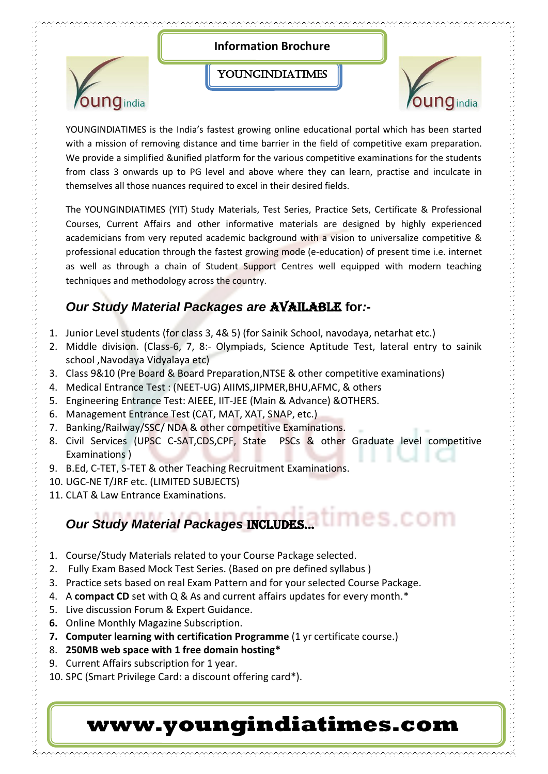

with a mission of removing distance and time barrier in the field of competitive exam preparation. We provide a simplified &unified platform for the various competitive examinations for the students from class 3 onwards up to PG level and above where they can learn, practise and inculcate in themselves all those nuances required to excel in their desired fields.

The YOUNGINDIATIMES (YIT) Study Materials, Test Series, Practice Sets, Certificate & Professional Courses, Current Affairs and other informative materials are designed by highly experienced academicians from very reputed academic background with a vision to universalize competitive & professional education through the fastest growing mode (e-education) of present time i.e. internet as well as through a chain of Student Support Centres well equipped with modern teaching techniques and methodology across the country.

### **Our Study Material Packages are <b>AVAILABLE** for:-

- 1. Junior Level students (for class 3, 4& 5) (for Sainik School, navodaya, netarhat etc.)
- 2. Middle division. (Class-6, 7, 8:- Olympiads, Science Aptitude Test, lateral entry to sainik school ,Navodaya Vidyalaya etc)
- 3. Class 9&10 (Pre Board & Board Preparation,NTSE & other competitive examinations)
- 4. Medical Entrance Test : (NEET-UG) AIIMS,JIPMER,BHU,AFMC, & others
- 5. Engineering Entrance Test: AIEEE, IIT-JEE (Main & Advance) &OTHERS.
- 6. Management Entrance Test (CAT, MAT, XAT, SNAP, etc.)
- 7. Banking/Railway/SSC/ NDA & other competitive Examinations.
- 8. Civil Services (UPSC C-SAT,CDS,CPF, State PSCs & other Graduate level competitive Examinations )
- 9. B.Ed, C-TET, S-TET & other Teaching Recruitment Examinations.
- 10. UGC-NE T/JRF etc. (LIMITED SUBJECTS)
- 11. CLAT & Law Entrance Examinations.

# *Our Study Material Packages INCLUDES...*

- 1. Course/Study Materials related to your Course Package selected.
- 2. Fully Exam Based Mock Test Series. (Based on pre defined syllabus )
- 3. Practice sets based on real Exam Pattern and for your selected Course Package.
- 4. A **compact CD** set with Q & As and current affairs updates for every month.\*
- 5. Live discussion Forum & Expert Guidance.
- **6.** Online Monthly Magazine Subscription.
- **7. Computer learning with certification Programme** (1 yr certificate course.)
- 8. **250MB web space with 1 free domain hosting\***
- 9. Current Affairs subscription for 1 year.
- 10. SPC (Smart Privilege Card: a discount offering card\*).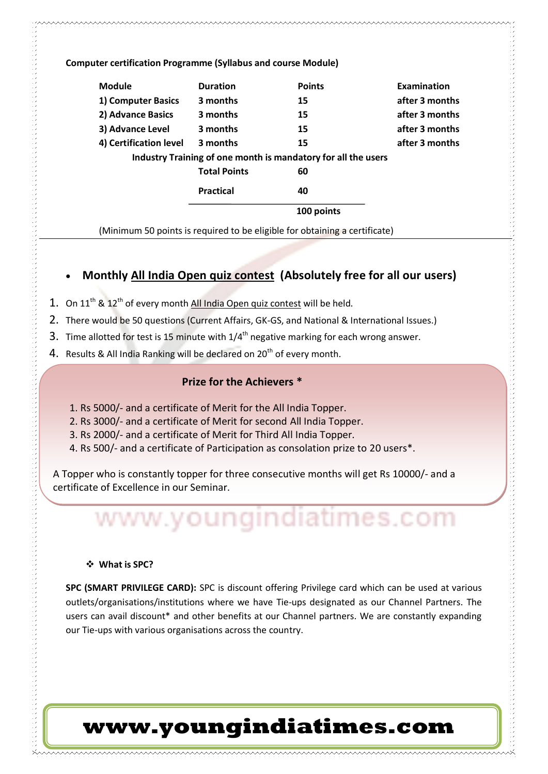**Computer certification Programme (Syllabus and course Module)**

| <b>Module</b>                                                 | <b>Duration</b>     | <b>Points</b> | <b>Examination</b> |
|---------------------------------------------------------------|---------------------|---------------|--------------------|
| 1) Computer Basics                                            | 3 months            | 15            | after 3 months     |
| 2) Advance Basics                                             | 3 months            | 15            | after 3 months     |
| 3) Advance Level                                              | 3 months            | 15            | after 3 months     |
| 4) Certification level                                        | 3 months            | 15            | after 3 months     |
| Industry Training of one month is mandatory for all the users |                     |               |                    |
|                                                               | <b>Total Points</b> | 60            |                    |
|                                                               | <b>Practical</b>    | 40            |                    |
|                                                               |                     | 100 points    |                    |

(Minimum 50 points is required to be eligible for obtaining a certificate)

#### **Monthly All India Open quiz contest (Absolutely free for all our users)**

- 1. On  $11^{th}$  &  $12^{th}$  of every month All India Open quiz contest will be held.
- 2. There would be 50 questions (Current Affairs, GK-GS, and National & International Issues.)
- 3. Time allotted for test is 15 minute with  $1/4<sup>th</sup>$  negative marking for each wrong answer.
- 4. Results & All India Ranking will be declared on 20<sup>th</sup> of every month.

#### **Prize for the Achievers \***

- 1. Rs 5000/- and a certificate of Merit for the All India Topper.
- 2. Rs 3000/- and a certificate of Merit for second All India Topper.
- 3. Rs 2000/- and a certificate of Merit for Third All India Topper.
- 4. Rs 500/- and a certificate of Participation as consolation prize to 20 users\*.

A Topper who is constantly topper for three consecutive months will get Rs 10000/- and a certificate of Excellence in our Seminar.

# www.youngindiatimes.com

#### **What is SPC?**

**SPC (SMART PRIVILEGE CARD):** SPC is discount offering Privilege card which can be used at various outlets/organisations/institutions where we have Tie-ups designated as our Channel Partners. The users can avail discount\* and other benefits at our Channel partners. We are constantly expanding our Tie-ups with various organisations across the country.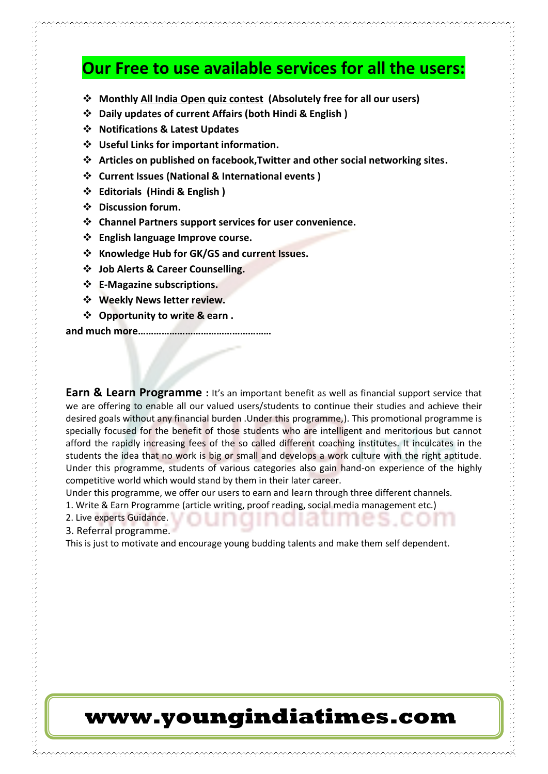### **Our Free to use available services for all the users:**

- **Monthly All India Open quiz contest (Absolutely free for all our users)**
- **Daily updates of current Affairs (both Hindi & English )**
- **Notifications & Latest Updates**
- **Useful Links for important information.**
- **Articles on published on facebook,Twitter and other social networking sites.**
- **Current Issues (National & International events )**
- **Editorials (Hindi & English )**
- **Discussion forum.**
- **Channel Partners support services for user convenience.**
- **English language Improve course.**
- **Knowledge Hub for GK/GS and current Issues.**
- **Job Alerts & Career Counselling.**
- **E-Magazine subscriptions.**
- **Weekly News letter review.**
- **Opportunity to write & earn .**

**and much more……………………………………………**

**Earn & Learn Programme** : It's an important benefit as well as financial support service that we are offering to enable all our valued users/students to continue their studies and achieve their desired goals without any financial burden .Under this programme,). This promotional programme is specially focused for the benefit of those students who are intelligent and meritorious but cannot afford the rapidly increasing fees of the so called different coaching institutes. It inculcates in the students the idea that no work is big or small and develops a work culture with the right aptitude. Under this programme, students of various categories also gain hand-on experience of the highly competitive world which would stand by them in their later career.

Under this programme, we offer our users to earn and learn through three different channels.

1. Write & Earn Programme (article writing, proof reading, social media management etc.)

2. Live experts Guidance.

3. Referral programme.

This is just to motivate and encourage young budding talents and make them self dependent.